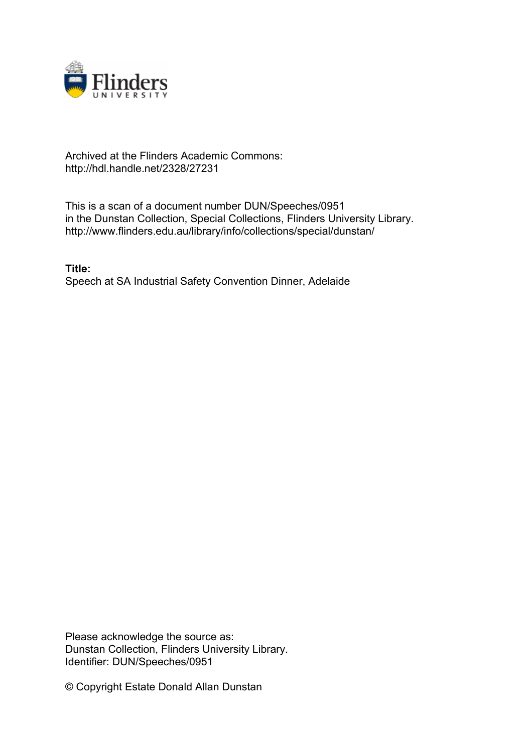

## Archived at the Flinders Academic Commons: http://hdl.handle.net/2328/27231

This is a scan of a document number DUN/Speeches/0951 in the Dunstan Collection, Special Collections, Flinders University Library. http://www.flinders.edu.au/library/info/collections/special/dunstan/

**Title:** Speech at SA Industrial Safety Convention Dinner, Adelaide

Please acknowledge the source as: Dunstan Collection, Flinders University Library. Identifier: DUN/Speeches/0951

© Copyright Estate Donald Allan Dunstan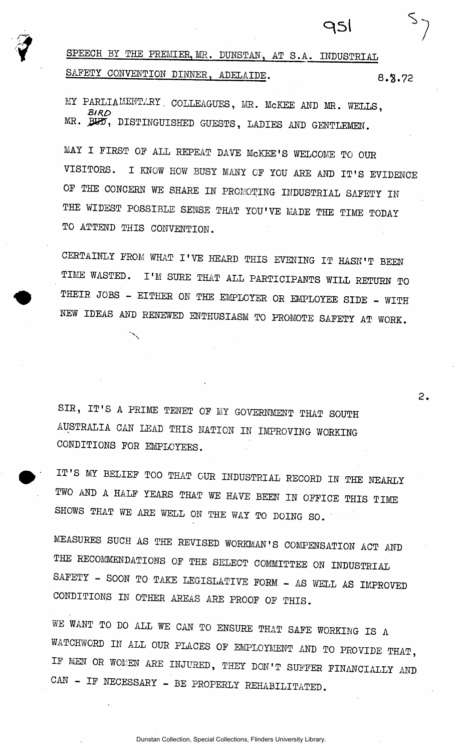SPEECH BY THE PREMIER, MR. DUNSTAN, AT S.A. INDUSTRIAL SAFETY CONVENTION DINNER, ADELAIDE. 8.8.72

931

 $\overline{2}$ .

MY PARLIAMENTARY. COLLEAGUES, MR. MCKEE AND MR. WELLS, *BIRO '*  MR. BUD, DISTINGUISHED GUESTS, LADIES AND GENTLEMEN.

MAY I FIRST OF ALL REPEAT DAVE McKEE'S WELCOME TO OUR VISITORS. I KNOW HOW BUSY MANY OF YOU ARE AND IT'S EVIDENCE OF THE CONCERN WE SHARE IN PROMOTING INDUSTRIAL SAFETY IN THE WIDEST POSSIBLE SENSE THAT YOU'VE MADE THE TIME TODAY TO ATTEND THIS CONVENTION.

CERTAINLY FROM WHAT I'VE HEARD THIS EVENING IT HASN'T BEEN TIME WASTED. I'M SURE THAT ALL PARTICIPANTS WILL RETURN TO THEIR JOBS - EITHER ON THE EMPLOYER OR EMPLOYEE SIDE - WITH NEW IDEAS AND RENEWED ENTHUSIASM TO PROMOTE SAFETY AT WORK.

SIR, IT'S A PRIME TENET OF MY GOVERNMENT THAT SOUTH AUSTRALIA CAN LEAD THIS NATION IN IMPROVING WORKING CONDITIONS FOR EMPLOYEES.

 $\checkmark$ 

IT'S MY BELIEF TOO THAT OUR INDUSTRIAL RECORD IN THE NEARLY TWO AND A HALF YEARS THAT WE HAVE BEEN IN OFFICE THIS TIME SHOWS THAT WE ARE WELL ON THE WAY TO DOING SO.

MEASURES SUCH AS THE REVISED WORKMAN'S COMPENSATION ACT AND THE RECOMMENDATIONS OF THE SELECT COMMITTEE ON INDUSTRIAL SAFETY - SOON TO TAKE LEGISLATIVE FORM - AS WELL AS IMPROVED CONDITIONS IN OTHER AREAS ARE PROOF OF THIS.

WE WANT TO DO ALL WE CAN TO ENSURE THAT SAFE WORKING IS A WATCHWORD IN ALL OUR PLACES OF EMPLOYMENT AND TO PROVIDE THAT, IF MEN OR WONEN ARE INJURED, THEY DON'T SUFFER FINANCIALLY AND CAN - IF NECESSARY - BE PROPERLY REHABILITATED.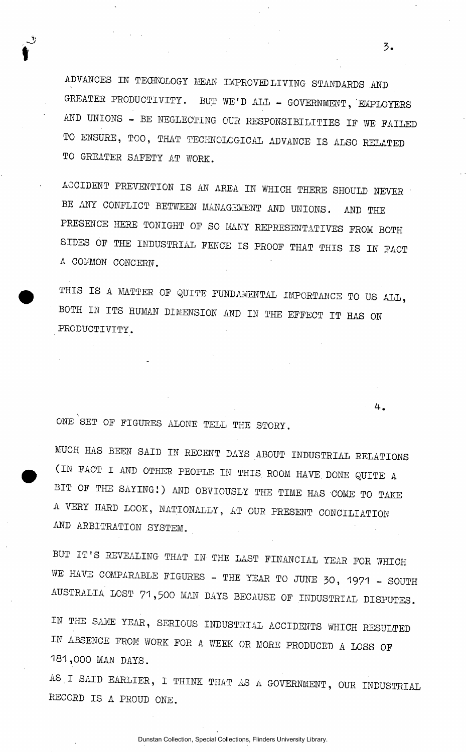ADVANCES IK TECHNOLOGY MEAN IMPROVED LIVING STANDARDS AND GREATER PRODUCTIVITY. BUT WE'D ALL - GOVERNMENT, EMPLOYERS AND UNIONS - BE NEGLECTING OUR RESPONSIBILITIES IF WE FAILED TO ENSURE, TOO, THAT TECHNOLOGICAL ADVANCE IS ALSO RELATED TO GREATER SAFETY AT WORK.

ACCIDENT PREVENTION IS AN AREA IN WHICH THERE SHOULD NEVER BE ANY CONFLICT BETWEEN MANAGEMENT AND UNIONS. AND THE PRESENCE HERE TONIGHT OF SO MANY REPRESENTATIVES FROM BOTH SIDES OF THE INDUSTRIAL FENCE IS PROOF THAT THIS IS IN FACT A COMMON CONCERN.

THIS IS A MATTER OF QUITE FUNDAMENTAL IMPORTANCE TO US ALL, BOTH IN ITS HUMAN DIMENSION AND IN THE EFFECT IT HAS ON PRODUCTIVITY.

ONE SET OF FIGURES ALONE TELL THE STORY.

ŷ

MUCH HAS BEEN SAID IN RECENT DAYS ABOUT INDUSTRIAL RELATIONS (IN FACT I AND OTHER PEOPLE IN THIS ROOM HAVE DONE QUITE A BIT OF THE SAYING!) AND OBVIOUSLY THE TIME HAS COME TO TAKE A VERY HARD LOOK, NATIONALLY, AT OUR PRESENT CONCILIATION AND ARBITRATION SYSTEM.

BUT IT'S REVEALING THAT IN THE LAST FINANCIAL YEAR FOR WHICH WE HAVE COMPARABLE FIGURES - THE YEAR TO JUNE 30, 1971 - SOUTH AUSTRALIA LOST 71,500 MAN DAYS BECAUSE OF INDUSTRIAL DISPUTES.

IN THE SAME YEAR, SERIOUS INDUSTRIAL ACCIDENTS WHICH RESULTED IN ABSENCE FROM WORK FOR A WEEK OR MORE PRODUCED A LOSS OF 181,000 MAN DAYS.

AS.I SAID EARLIER, I THINK THAT AS A GOVERNMENT, OUR INDUSTRIAL RECORD IS A PROUD ONE.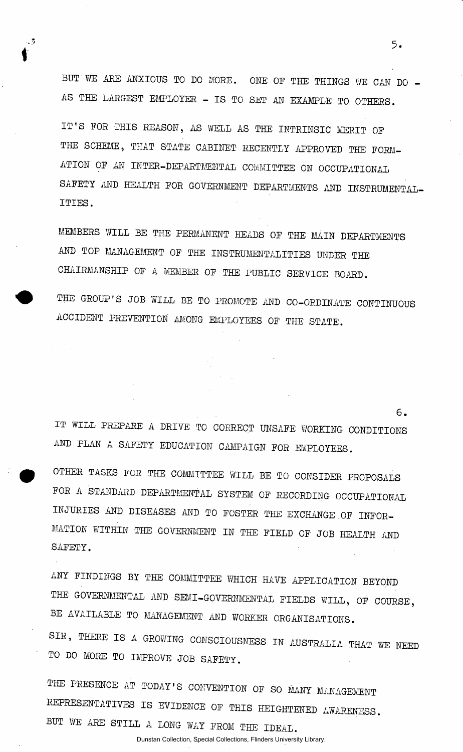BUT WE ARE ANXIOUS TO DO MORE. ONE OF THE THINGS WE CAN DO -AS THE LARGEST EMPLOYER - IS TO SET AN EXAMPLE TO OTHERS.

, 3

IT'S FOR THIS REASON, AS WELL AS THE INTRINSIC MERIT OF THE SCHEME, THAT STATE CABINET RECENTLY APPROVED THE FORM-ATION OF AN INTER-DEPARTMENTAL COMMITTEE ON OCCUPATIONAL SAFETY AND HEALTH FOR GOVERNMENT DEPARTMENTS AND INSTRUMENTAL-ITIES .

MEMBERS WILL BE THE PERMANENT HEADS OF THE MAIN DEPARTMENTS AND TOP MANAGEMENT OF THE INSTRUMENTALITIES UNDER THE CHAIRMANSHIP OF A MEMBER OF THE PUBLIC SERVICE BOARD.

THE GROUP'S JOB WILL BE TO PROMOTE AND CO-ORDINATE CONTINUOUS ACCIDENT PREVENTION AMONG EMPLOYEES OF THE STATE.

IT WILL PREPARE A DRIVE TO CORRECT UNSAFE WORKING CONDITIONS AND PLAN A SAFETY EDUCATION CAMPAIGN FOR EMPLOYEES.

OTHER TASKS FOR THE COMMITTEE WILL BE TO CONSIDER PROPOSALS FOR A STANDARD DEPARTMENTAL SYSTEM OF RECORDING OCCUPATIONAL INJURIES AND DISEASES AND TO FOSTER THE EXCHANGE OF INFOR-MATION WITHIN THE GOVERNMENT IN THE FIELD OF JOB HEALTH AND SAFETY.

ANY FINDINGS BY THE COMMITTEE WHICH HAVE APPLICATION BEYOND THE GOVERNMENTAL AND SEMI-GOVERNMENTAL FIELDS WILL, OF COURSE, BE AVAILABLE TO MANAGEMENT AND WORKER ORGANISATIONS.

SIR, THERE IS A GROWING CONSCIOUSNESS IN AUSTRALIA THAT WE NEED TO DO MORE TO IMPROVE JOB SAFETY.

THE PRESENCE AT TODAY'S CONVENTION OF SO MANY MANAGEMENT REPRESENTATIVES IS EVIDENCE OF THIS HEIGHTENED AWARENESS. BUT WE ARE STILL A LONG WAY FROM THE IDEAL.

Dunstan Collection, Special Collections, Flinders University Library.

 $5.$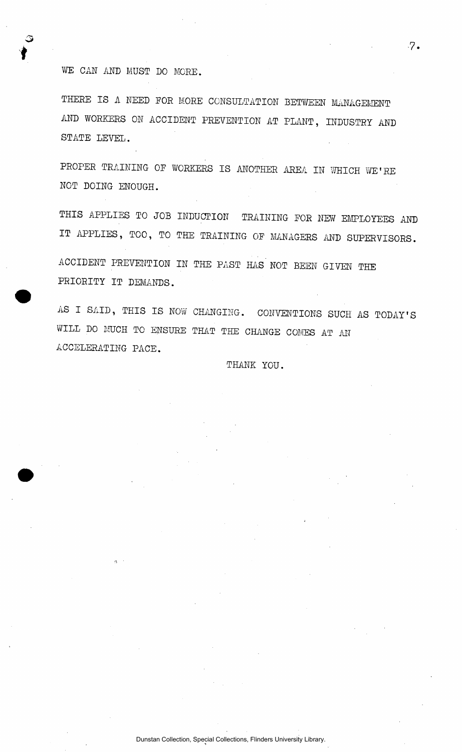## WE CAN AND MUST DO MORE.

THERE IS A NEED FOR MORE CONSULTATION BETWEEN MANAGEMENT AND WORKERS ON ACCIDENT PREVENTION AT PLANT, INDUSTRY AND STATE LEVEL.

PROPER TRAINING OF WORKERS IS ANOTHER AREA IN WHICH WE'RE NOT DOING ENOUGH.

THIS APPLIES TO JOB INDUCTION TRAINING FOR NEW EMPLOYEES AND IT APPLIES, TOO, TO THE TRAINING OF MANAGERS AND SUPERVISORS. ACCIDENT PREVENTION IN THE PAST HAS NOT BEEN GIVEN THE PRIORITY IT DEMANDS.

AS I SAID, THIS IS NOW CHANGING. CONVENTIONS SUCH AS TODAY'S WILL DO MUCH TO ENSURE THAT THE CHANGE COMES AT AN ACCELERATING PACE.

THANK YOU.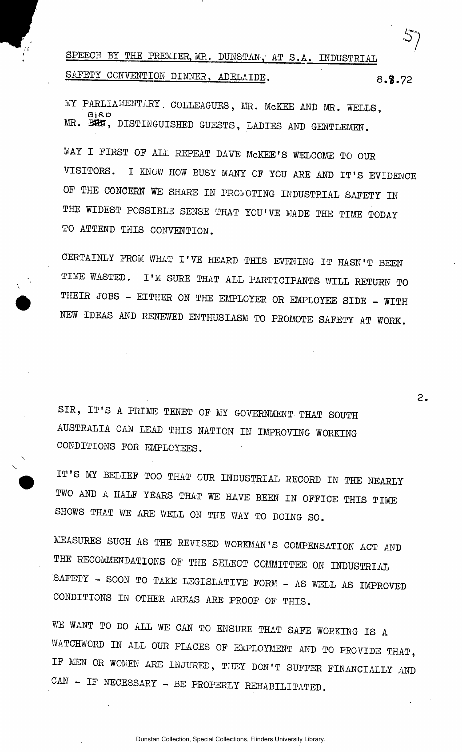SPEECH BY THE PREMIER, MR. DUNSTAN, AT S.A. INDUSTRIAL SAFETY CONVENTION DINNER, ADELAIDE. 8.8.72

MY PARLIAMENTARY. COLLEAGUES, MR. MCKEE AND MR. WELLS, MR. B85, DISTINGUISHED GUESTS, LADIES AND GENTLEMEN.

MAY I FIRST OF ALL REPEAT DAVE McKEE'S WELCOME TO OUR VISITORS. I KNOW HOW BUSY MANY OF YOU ARE AND IT'S EVIDENCE OF THE CONCERN WE SHARE IN PROMOTING INDUSTRIAL SAFETY IN THE WIDEST POSSIBLE SENSE THAT YOU'VE MADE THE TIME TODAY TO ATTEND THIS CONVENTION.

CERTAINLY FROM WHAT I'VE HEARD THIS EVENING IT HASN'T BEEN TIME WASTED. I'M SURE THAT ALL PARTICIPANTS WILL RETURN TO THEIR JOBS - EITHER ON THE EMPLOYER OR EMPLOYEE SIDE - WITH NEW IDEAS AND RENEWED ENTHUSIASM TO PROMOTE SAFETY AT WORK.

SIR, IT'S A PRIME TENET OF MY GOVERNMENT THAT SOUTH AUSTRALIA CAN LEAD THIS NATION IN IMPROVING WORKING CONDITIONS FOR EMPLOYEES.

v

IT'S MY BELIEF TOO THAT OUR INDUSTRIAL RECORD IN THE NEARLY TWO AND A HALF YEARS THAT WE HAVE BEEN IN OFFICE THIS TIME SHOWS THAT WE ARE WELL ON THE WAY TO DOING SO.

MEASURES SUCH AS THE REVISED WORKMAN'S COMPENSATION ACT AND THE RECOMMENDATIONS OF THE SELECT COMMITTEE ON INDUSTRIAL SAFETY - SOON TO TAKE LEGISLATIVE FORM - AS WELL AS IMPROVED CONDITIONS IN OTHER AREAS ARE PROOF OF THIS.

WE WANT TO DO ALL WE CAN TO ENSURE THAT SAFE WORKING IS A WATCHWORD IN ALL OUR PLACES OF EMPLOYMENT AND TO PROVIDE THAT, IF MEN OR WOMEN ARE INJURED, THEY DON'T SUFFER FINANCIALLY AND CAN - IF NECESSARY - BE PROPERLY REHABILITATED.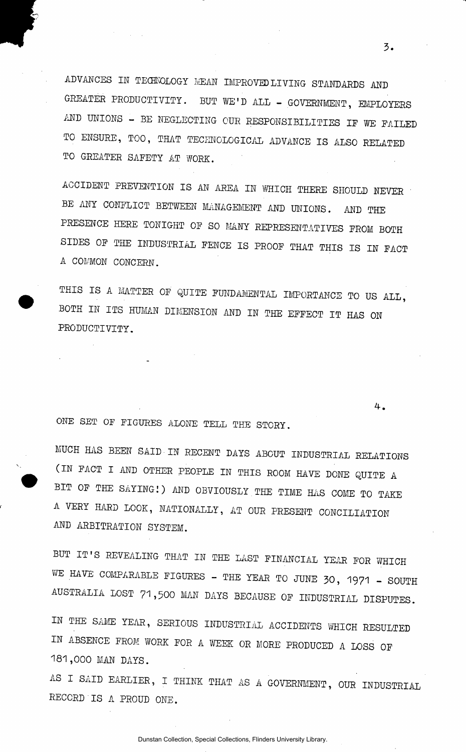ADVANCES IN TECHNOLOGY MEAN IMPROVED LIVING STANDARDS AND GREATER PRODUCTIVITY. BUT WE'D ALL - GOVERNMENT, EMPLOYERS AND UNIONS - BE NEGLECTING OUR RESPONSIBILITIES IF WE FAILED TO ENSURE, TOO, THAT TECHNOLOGICAL ADVANCE IS ALSO RELATED TO GREATER SAFETY AT WORK.

ACCIDENT PREVENTION IS AN AREA IN WHICH THERE SHOULD NEVER ' BE ANY CONFLICT BETWEEN MANAGEMENT AND UNIONS. AND THE PRESENCE HERE TONIGHT OF SO MANY REPRESENTATIVES FROM BOTH SIDES OF THE INDUSTRIAL FENCE IS PROOF THAT THIS IS IN FACT A COMMON CONCERN.

THIS IS A MATTER OF QUITE FUNDAMENTAL IMPORTANCE TO US ALL, BOTH IN ITS HUMAN DIMENSION AND IN THE EFFECT IT HAS ON PRODUCTIVITY.

ONE SET OF FIGURES ALONE TELL THE STORY.

MUCH HAS BEEN SAID IN RECENT DAYS ABOUT INDUSTRIAL RELATIONS (IN FACT I AND OTHER PEOPLE IN THIS ROOM HAVE DONE QUITE A BIT OF THE SAYINGI) AND OBVIOUSLY THE TIME HAS COME TO TAKE A VERY HARD LOOK, NATIONALLY, AT OUR PRESENT CONCILIATION AND ARBITRATION SYSTEM.

BUT IT'S REVEALING THAT IN THE LAST FINANCIAL YEAR FOR WHICH WE HAVE COMPARABLE FIGURES - THE YEAR TO JUNE 30, 1971 - SOUTH AUSTRALIA LOST 71,500 MAN DAYS BECAUSE OF INDUSTRIAL DISPUTES.

IN THE SAME YEAR, SERIOUS INDUSTRIAL ACCIDENTS WHICH RESULTED IN ABSENCE FROM WORK FOR A WEEK OR MORE PRODUCED A LOSS OF 181,000 MAN DAYS.

AS I SAID EARLIER, I THINK THAT AS A GOVERNMENT, OUR INDUSTRIAL RECORD IS A PROUD ONE.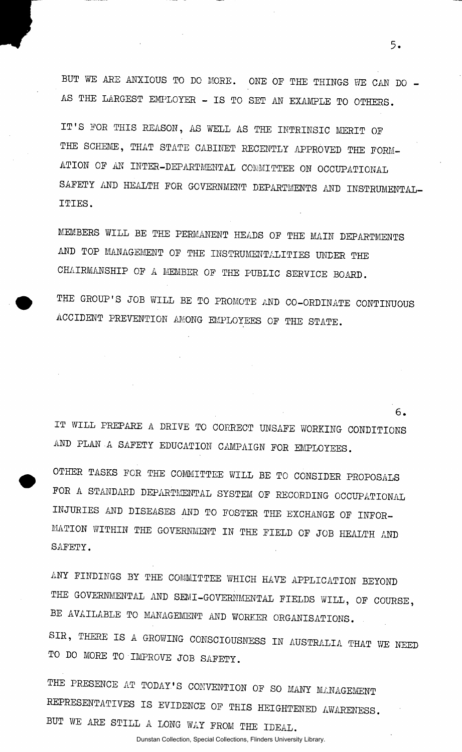BUT WE ARE ANXIOUS TO DO MORE. ONE OF THE THINGS WE CAN DO  $-$ AS THE LARGEST EMPLOYER - IS TO SET AN EXAMPLE TO OTHERS.

IT'S FOR THIS REASON, AS WELL AS THE INTRINSIC MERIT OF THE SCHEME, THAT STATE CABINET RECENTLY APPROVED THE FORM-ATION OF AN INTER-DEPARTMENTAL COMMITTEE ON OCCUPATIONAL SAFETY AND HEALTH FOR GOVERNMENT DEPARTMENTS AND INSTRUMENTAL-ITIES .

MEMBERS WILL BE THE PERMANENT HEADS OF THE MAIN DEPARTMENTS AND TOP MANAGEMENT OF THE INSTRUMENTALITIES UNDER THE CHAIRMANSHIP OF A MEMBER OF THE PUBLIC SERVICE BOARD.

THE GROUP'S JOB WILL BE TO PROMOTE AND CO-ORDINATE CONTINUOUS ACCIDENT PREVENTION AMONG EMPLOYEES OF THE STATE.

IT WILL PREPARE A DRIVE TO CORRECT UNSAFE WORKING CONDITIONS AND PLAN A SAFETY EDUCATION CAMPAIGN FOR EMPLOYEES.

OTHER TASKS FOR THE COMMITTEE WILL BE TO CONSIDER PROPOSALS FOR A STANDARD DEPARTMENTAL SYSTEM OF RECORDING OCCUPATIONAL INJURIES AND DISEASES AND TO FOSTER THE EXCHANGE OF INFOR-MATION WITHIN THE GOVERNMENT IN THE FIELD OF JOB HEALTH AND SAFETY.

ANY FINDINGS BY THE COMMITTEE WHICH HAVE APPLICATION BEYOND THE GOVERNMENTAL AND SEMI-GOVERNMENTAL FIELDS WILL, OF COURSE, BE AVAILABLE TO MANAGEMENT AND WORKER ORGANISATIONS. SIR, THERE IS A GROWING CONSCIOUSNESS IN AUSTRALIA THAT WE NEED TO DO MORE TO IMPROVE JOB SAFETY.

THE PRESENCE AT TODAY'S CONVENTION OF SO MANY MANAGEMENT REPRESENTATIVES IS EVIDENCE OF THIS HEIGHTENED AWARENESS. BUT WE ARE STILL A LONG WAY FROM THE IDEAL.

Dunstan Collection, Special Collections, Flinders University Library.

3